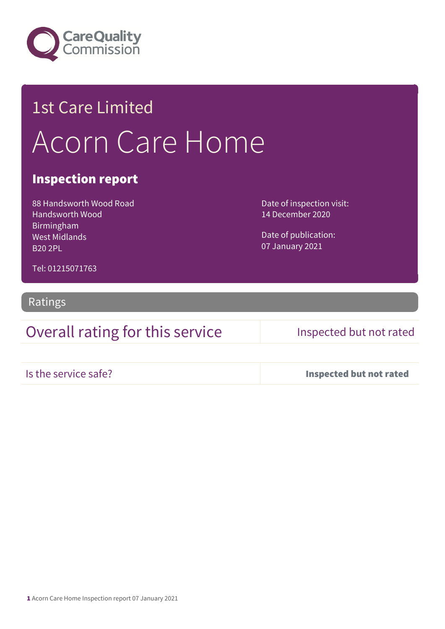

# 1st Care Limited Acorn Care Home

### Inspection report

88 Handsworth Wood Road Handsworth Wood Birmingham West Midlands B20 2PL

Date of inspection visit: 14 December 2020

Date of publication: 07 January 2021

Tel: 01215071763

Ratings

## Overall rating for this service Inspected but not rated

Is the service safe? Inspected but not rated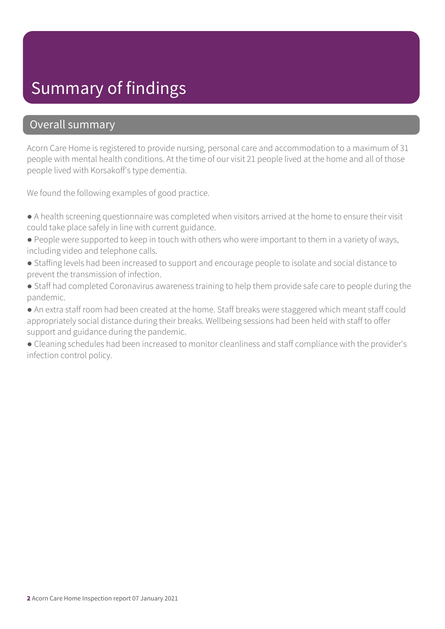# Summary of findings

### Overall summary

Acorn Care Home is registered to provide nursing, personal care and accommodation to a maximum of 31 people with mental health conditions. At the time of our visit 21 people lived at the home and all of those people lived with Korsakoff's type dementia.

We found the following examples of good practice.

- A health screening questionnaire was completed when visitors arrived at the home to ensure their visit could take place safely in line with current guidance.
- People were supported to keep in touch with others who were important to them in a variety of ways, including video and telephone calls.
- Staffing levels had been increased to support and encourage people to isolate and social distance to prevent the transmission of infection.
- Staff had completed Coronavirus awareness training to help them provide safe care to people during the pandemic.
- An extra staff room had been created at the home. Staff breaks were staggered which meant staff could appropriately social distance during their breaks. Wellbeing sessions had been held with staff to offer support and guidance during the pandemic.
- Cleaning schedules had been increased to monitor cleanliness and staff compliance with the provider's infection control policy.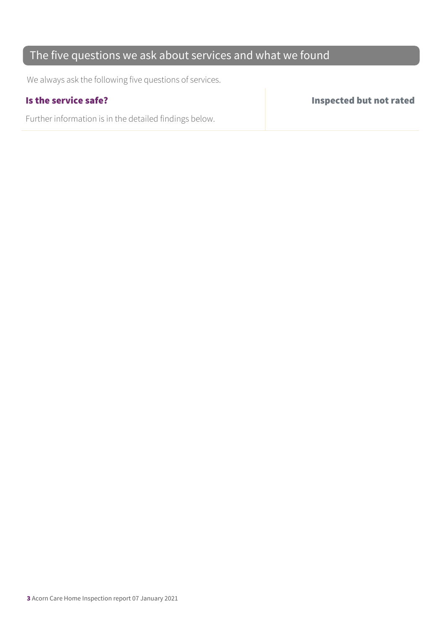## The five questions we ask about services and what we found

We always ask the following five questions of services.

Further information is in the detailed findings below.

Is the service safe? Inspected but not rated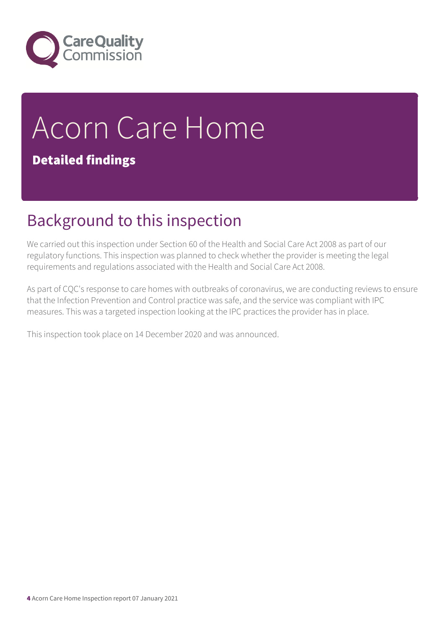

# Acorn Care Home Detailed findings

# Background to this inspection

We carried out this inspection under Section 60 of the Health and Social Care Act 2008 as part of our regulatory functions. This inspection was planned to check whether the provider is meeting the legal requirements and regulations associated with the Health and Social Care Act 2008.

As part of CQC's response to care homes with outbreaks of coronavirus, we are conducting reviews to ensure that the Infection Prevention and Control practice was safe, and the service was compliant with IPC measures. This was a targeted inspection looking at the IPC practices the provider has in place.

This inspection took place on 14 December 2020 and was announced.